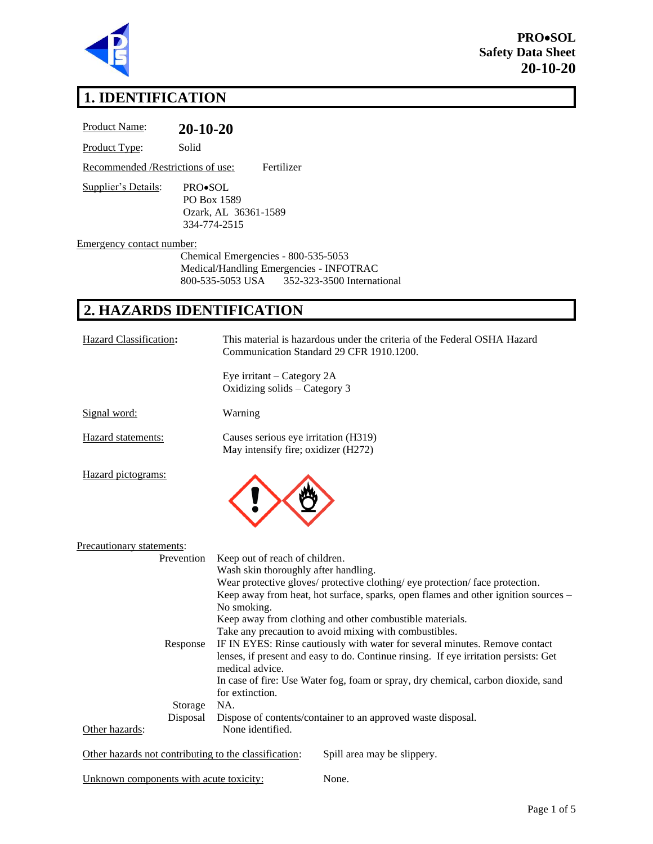

**PRO**•**SOL Safety Data Sheet 20-10-20** 

## **1. IDENTIFICATION**

| Solid<br>Product Type:                                                                                                                                                                                                                                                                                                                            |
|---------------------------------------------------------------------------------------------------------------------------------------------------------------------------------------------------------------------------------------------------------------------------------------------------------------------------------------------------|
| Fertilizer<br>Recommended /Restrictions of use:                                                                                                                                                                                                                                                                                                   |
| Supplier's Details:<br>PRO•SOL<br>PO Box 1589<br>Ozark, AL 36361-1589<br>334-774-2515                                                                                                                                                                                                                                                             |
| Emergency contact number:                                                                                                                                                                                                                                                                                                                         |
| Chemical Emergencies - 800-535-5053<br>Medical/Handling Emergencies - INFOTRAC<br>800-535-5053 USA<br>352-323-3500 International                                                                                                                                                                                                                  |
| 2. HAZARDS IDENTIFICATION                                                                                                                                                                                                                                                                                                                         |
| Hazard Classification:<br>This material is hazardous under the criteria of the Federal OSHA Hazard<br>Communication Standard 29 CFR 1910.1200.                                                                                                                                                                                                    |
| Eye irritant – Category 2A<br>Oxidizing solids - Category 3                                                                                                                                                                                                                                                                                       |
| Signal word:<br>Warning                                                                                                                                                                                                                                                                                                                           |
| Causes serious eye irritation (H319)<br>Hazard statements:<br>May intensify fire; oxidizer (H272)                                                                                                                                                                                                                                                 |
| Hazard pictograms:                                                                                                                                                                                                                                                                                                                                |
| Precautionary statements:                                                                                                                                                                                                                                                                                                                         |
| Keep out of reach of children.<br>Prevention<br>Wash skin thoroughly after handling.<br>Wear protective gloves/ protective clothing/ eye protection/ face protection.<br>Keep away from heat, hot surface, sparks, open flames and other ignition sources -<br>No smoking.<br>Keep away from clothing and other combustible materials.            |
| Take any precaution to avoid mixing with combustibles.<br>IF IN EYES: Rinse cautiously with water for several minutes. Remove contact<br>Response<br>lenses, if present and easy to do. Continue rinsing. If eye irritation persists: Get<br>medical advice.<br>In case of fire: Use Water fog, foam or spray, dry chemical, carbon dioxide, sand |
| for extinction.<br>NA.<br>Storage<br>Disposal<br>Dispose of contents/container to an approved waste disposal.<br>Other hazards:<br>None identified.                                                                                                                                                                                               |
| Other hazards not contributing to the classification:<br>Spill area may be slippery.                                                                                                                                                                                                                                                              |

Unknown components with acute toxicity: None.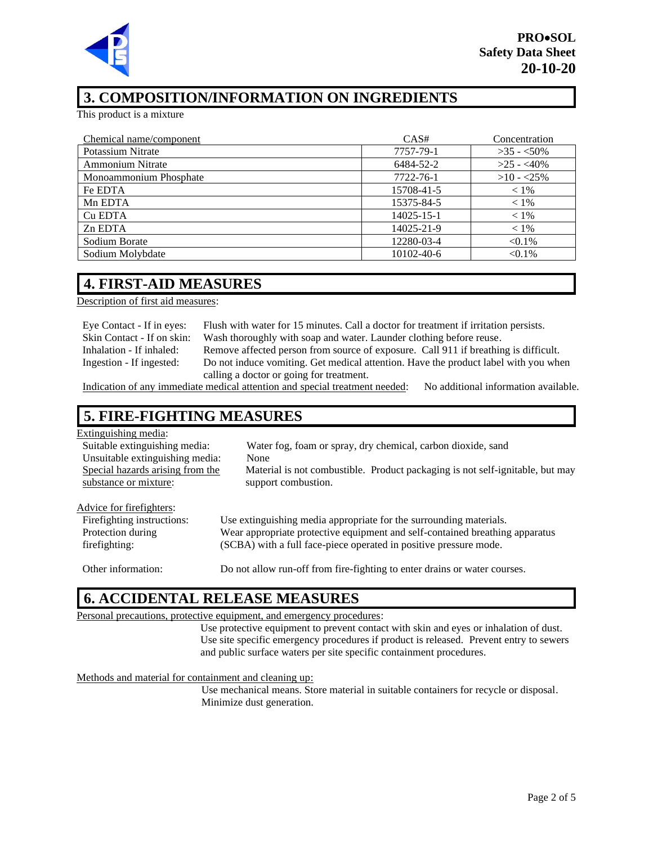

### **3. COMPOSITION/INFORMATION ON INGREDIENTS**

This product is a mixture

| Chemical name/component | CAS#             | Concentration |
|-------------------------|------------------|---------------|
| Potassium Nitrate       | 7757-79-1        | $>35 - 50\%$  |
| <b>Ammonium Nitrate</b> | 6484-52-2        | $>25 - 40\%$  |
| Monoammonium Phosphate  | 7722-76-1        | $>10 - 25\%$  |
| Fe EDTA                 | 15708-41-5       | $< 1\%$       |
| Mn EDTA                 | 15375-84-5       | $< 1\%$       |
| Cu EDTA                 | 14025-15-1       | $< 1\%$       |
| Zn EDTA                 | 14025-21-9       | $< 1\%$       |
| Sodium Borate           | 12280-03-4       | $< 0.1\%$     |
| Sodium Molybdate        | $10102 - 40 - 6$ | $< 0.1\%$     |

### **4. FIRST-AID MEASURES**

Description of first aid measures:

| Eye Contact - If in eyes:   | Flush with water for 15 minutes. Call a doctor for treatment if irritation persists.                                                                                                                                                          |
|-----------------------------|-----------------------------------------------------------------------------------------------------------------------------------------------------------------------------------------------------------------------------------------------|
| Skin Contact - If on skin:  | Wash thoroughly with soap and water. Launder clothing before reuse.                                                                                                                                                                           |
| Inhalation - If inhaled:    | Remove affected person from source of exposure. Call 911 if breathing is difficult.                                                                                                                                                           |
| Ingestion - If ingested:    | Do not induce vomiting. Get medical attention. Have the product label with you when                                                                                                                                                           |
|                             | calling a doctor or going for treatment.                                                                                                                                                                                                      |
| $\sim$ $\sim$ $\sim$ $\sim$ | $\cdots$<br>$\mathbf{A}$ , and a set of the set of the set of the set of the set of the set of the set of the set of the set of the set of the set of the set of the set of the set of the set of the set of the set of the set of the set of |

Indication of any immediate medical attention and special treatment needed: No additional information available.

### **5. FIRE-FIGHTING MEASURES**

| Extinguishing media:             |                                                                               |
|----------------------------------|-------------------------------------------------------------------------------|
| Suitable extinguishing media:    | Water fog, foam or spray, dry chemical, carbon dioxide, sand                  |
| Unsuitable extinguishing media:  | None                                                                          |
| Special hazards arising from the | Material is not combustible. Product packaging is not self-ignitable, but may |
| substance or mixture:            | support combustion.                                                           |
|                                  |                                                                               |
| Advice for firefighters:         |                                                                               |
| Firefighting instructions:       | Use extinguishing media appropriate for the surrounding materials.            |
| Protection during                | Wear appropriate protective equipment and self-contained breathing apparatus  |
| firefighting:                    | (SCBA) with a full face-piece operated in positive pressure mode.             |
|                                  |                                                                               |

Other information: Do not allow run-off from fire-fighting to enter drains or water courses.

### **6. ACCIDENTAL RELEASE MEASURES**

#### Personal precautions, protective equipment, and emergency procedures:

Use protective equipment to prevent contact with skin and eyes or inhalation of dust. Use site specific emergency procedures if product is released. Prevent entry to sewers and public surface waters per site specific containment procedures.

Methods and material for containment and cleaning up:

Use mechanical means. Store material in suitable containers for recycle or disposal. Minimize dust generation.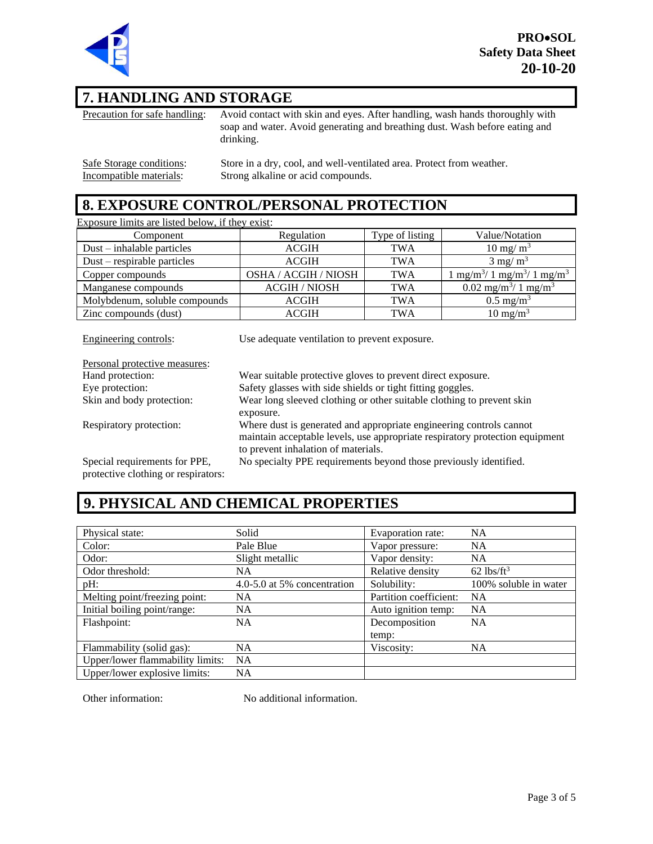

### **7. HANDLING AND STORAGE**

Precaution for safe handling: Avoid contact with skin and eyes. After handling, wash hands thoroughly with soap and water. Avoid generating and breathing dust. Wash before eating and drinking.

Safe Storage conditions: Store in a dry, cool, and well-ventilated area. Protect from weather.<br>Incompatible materials: Strong alkaline or acid compounds. Strong alkaline or acid compounds.

### **8. EXPOSURE CONTROL/PERSONAL PROTECTION**

Exposure limits are listed below, if they exist: Component Regulation Type of listing Value/Notation Dust – inhalable particles  $ACGH$  TWA 10 mg/ m<sup>3</sup> Dust – respirable particles  $ACGH$   $TWA$  3 mg/ m<sup>3</sup> Copper compounds **OSHA / ACGIH / NIOSH TWA** / 1 mg/m<sup>3</sup>/ 1 mg/m<sup>3</sup> Manganese compounds ACGIH / NIOSH TWA  $0.02$  mg/m<sup>3</sup>/ 1 mg/m<sup>3</sup> Molybdenum, soluble compounds ACGIH TWA 0.5 mg/m<sup>3</sup> Zinc compounds (dust)  $ACGH$  TWA 10 mg/m<sup>3</sup>

Engineering controls: Use adequate ventilation to prevent exposure. Personal protective measures: Hand protection: Wear suitable protective gloves to prevent direct exposure. Eye protection: Safety glasses with side shields or tight fitting goggles. Skin and body protection: Wear long sleeved clothing or other suitable clothing to prevent skin exposure. Respiratory protection: Where dust is generated and appropriate engineering controls cannot maintain acceptable levels, use appropriate respiratory protection equipment to prevent inhalation of materials. Special requirements for PPE, protective clothing or respirators: No specialty PPE requirements beyond those previously identified.

# **9. PHYSICAL AND CHEMICAL PROPERTIES**

| Physical state:                  | Solid                       | Evaporation rate:      | <b>NA</b>                |
|----------------------------------|-----------------------------|------------------------|--------------------------|
| Color:                           | Pale Blue                   | Vapor pressure:        | <b>NA</b>                |
| Odor:                            | Slight metallic             | Vapor density:         | NA.                      |
| Odor threshold:                  | <b>NA</b>                   | Relative density       | $62$ lbs/ft <sup>3</sup> |
| $pH$ :                           | 4.0-5.0 at 5% concentration | Solubility:            | 100% soluble in water    |
| Melting point/freezing point:    | <b>NA</b>                   | Partition coefficient: | <b>NA</b>                |
| Initial boiling point/range:     | <b>NA</b>                   | Auto ignition temp:    | <b>NA</b>                |
| Flashpoint:                      | <b>NA</b>                   | Decomposition          | <b>NA</b>                |
|                                  |                             | temp:                  |                          |
| Flammability (solid gas):        | <b>NA</b>                   | Viscosity:             | NA.                      |
| Upper/lower flammability limits: | <b>NA</b>                   |                        |                          |
| Upper/lower explosive limits:    | <b>NA</b>                   |                        |                          |

Other information: No additional information.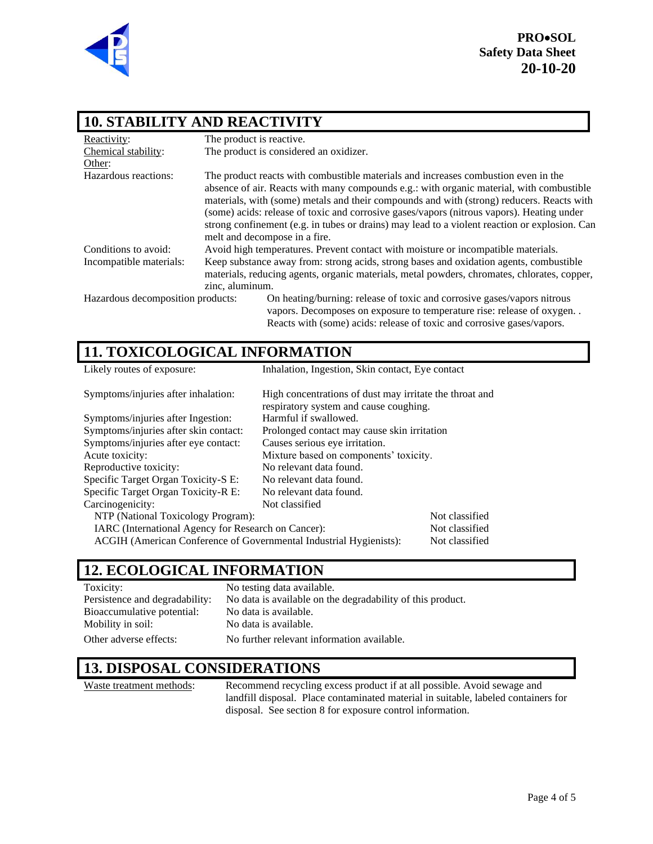

### **10. STABILITY AND REACTIVITY**

| Reactivity:                       | The product is reactive.                                                                                                                                                                                                                                                                                                                                                                                                                                                                                   |  |
|-----------------------------------|------------------------------------------------------------------------------------------------------------------------------------------------------------------------------------------------------------------------------------------------------------------------------------------------------------------------------------------------------------------------------------------------------------------------------------------------------------------------------------------------------------|--|
| Chemical stability:               | The product is considered an oxidizer.                                                                                                                                                                                                                                                                                                                                                                                                                                                                     |  |
| Other:                            |                                                                                                                                                                                                                                                                                                                                                                                                                                                                                                            |  |
| Hazardous reactions:              | The product reacts with combustible materials and increases combustion even in the<br>absence of air. Reacts with many compounds e.g.: with organic material, with combustible<br>materials, with (some) metals and their compounds and with (strong) reducers. Reacts with<br>(some) acids: release of toxic and corrosive gases/vapors (nitrous vapors). Heating under<br>strong confinement (e.g. in tubes or drains) may lead to a violent reaction or explosion. Can<br>melt and decompose in a fire. |  |
| Conditions to avoid:              | Avoid high temperatures. Prevent contact with moisture or incompatible materials.                                                                                                                                                                                                                                                                                                                                                                                                                          |  |
| Incompatible materials:           | Keep substance away from: strong acids, strong bases and oxidation agents, combustible<br>materials, reducing agents, organic materials, metal powders, chromates, chlorates, copper,                                                                                                                                                                                                                                                                                                                      |  |
|                                   | zinc, aluminum.                                                                                                                                                                                                                                                                                                                                                                                                                                                                                            |  |
| Hazardous decomposition products: | On heating/burning: release of toxic and corrosive gases/vapors nitrous<br>vapors. Decomposes on exposure to temperature rise: release of oxygen<br>Reacts with (some) acids: release of toxic and corrosive gases/vapors.                                                                                                                                                                                                                                                                                 |  |

### **11. TOXICOLOGICAL INFORMATION**

| Likely routes of exposure:                                         | Inhalation, Ingestion, Skin contact, Eye contact                                                  |                |
|--------------------------------------------------------------------|---------------------------------------------------------------------------------------------------|----------------|
| Symptoms/injuries after inhalation:                                | High concentrations of dust may irritate the throat and<br>respiratory system and cause coughing. |                |
| Symptoms/injuries after Ingestion:                                 | Harmful if swallowed.                                                                             |                |
| Symptoms/injuries after skin contact:                              | Prolonged contact may cause skin irritation                                                       |                |
| Symptoms/injuries after eye contact:                               | Causes serious eye irritation.                                                                    |                |
| Acute toxicity:                                                    | Mixture based on components' toxicity.                                                            |                |
| Reproductive toxicity:                                             | No relevant data found.                                                                           |                |
| Specific Target Organ Toxicity-S E:                                | No relevant data found.                                                                           |                |
| Specific Target Organ Toxicity-R E:                                | No relevant data found.                                                                           |                |
| Carcinogenicity:                                                   | Not classified                                                                                    |                |
| NTP (National Toxicology Program):                                 |                                                                                                   | Not classified |
| IARC (International Agency for Research on Cancer):                |                                                                                                   | Not classified |
| ACGIH (American Conference of Governmental Industrial Hygienists): |                                                                                                   | Not classified |

### **12. ECOLOGICAL INFORMATION**

| Toxicity:                      | No testing data available.                                 |
|--------------------------------|------------------------------------------------------------|
| Persistence and degradability: | No data is available on the degradability of this product. |
| Bioaccumulative potential:     | No data is available.                                      |
| Mobility in soil:              | No data is available.                                      |
| Other adverse effects:         | No further relevant information available.                 |

### **13. DISPOSAL CONSIDERATIONS**

Waste treatment methods: Recommend recycling excess product if at all possible. Avoid sewage and landfill disposal. Place contaminated material in suitable, labeled containers for disposal. See section 8 for exposure control information.